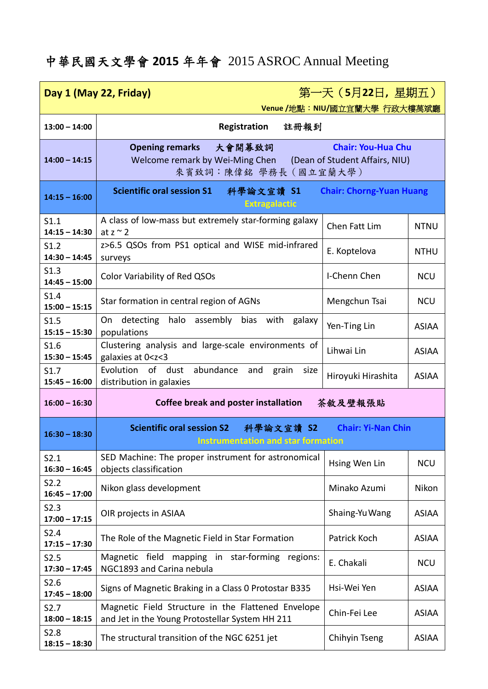## 中華民國天文學會 **2015** 年年會 2015 ASROC Annual Meeting

| 第一天 (5月22日, 星期五)<br>Day 1 (May 22, Friday)<br>Venue /地點: NIU/國立宜蘭大學 行政大樓萬斌廳 |                                                                                                                                                          |                                 |              |
|-----------------------------------------------------------------------------|----------------------------------------------------------------------------------------------------------------------------------------------------------|---------------------------------|--------------|
| $13:00 - 14:00$                                                             | 註冊報到<br>Registration                                                                                                                                     |                                 |              |
| $14:00 - 14:15$                                                             | 大會開幕致詞<br><b>Chair: You-Hua Chu</b><br><b>Opening remarks</b><br>Welcome remark by Wei-Ming Chen (Dean of Student Affairs, NIU)<br>來賓致詞:陳偉銘 學務長 (國立宜蘭大學) |                                 |              |
| $14:15 - 16:00$                                                             | <b>Scientific oral session S1</b><br>科學論文宣讀 S1<br><b>Extragalactic</b>                                                                                   | <b>Chair: Chorng-Yuan Huang</b> |              |
| S1.1<br>$14:15 - 14:30$                                                     | A class of low-mass but extremely star-forming galaxy<br>at $z \sim 2$                                                                                   | Chen Fatt Lim                   | <b>NTNU</b>  |
| S1.2<br>$14:30 - 14:45$                                                     | z>6.5 QSOs from PS1 optical and WISE mid-infrared<br>surveys                                                                                             | E. Koptelova                    | <b>NTHU</b>  |
| S1.3<br>$14:45 - 15:00$                                                     | Color Variability of Red QSOs                                                                                                                            | I-Chenn Chen                    | <b>NCU</b>   |
| S1.4<br>$15:00 - 15:15$                                                     | Star formation in central region of AGNs                                                                                                                 | Mengchun Tsai                   | <b>NCU</b>   |
| S1.5<br>$15:15 - 15:30$                                                     | detecting<br>halo assembly bias with<br>On<br>galaxy<br>populations                                                                                      | Yen-Ting Lin                    | <b>ASIAA</b> |
| S1.6<br>$15:30 - 15:45$                                                     | Clustering analysis and large-scale environments of<br>galaxies at 0 <z<3< th=""><th>Lihwai Lin</th><th><b>ASIAA</b></th></z<3<>                         | Lihwai Lin                      | <b>ASIAA</b> |
| S1.7<br>$15:45 - 16:00$                                                     | of dust abundance<br>Evolution<br>and<br>grain<br>size<br>distribution in galaxies                                                                       | Hiroyuki Hirashita              | <b>ASIAA</b> |
| $16:00 - 16:30$                                                             | <b>Coffee break and poster installation</b><br>茶敘及壁報張貼                                                                                                   |                                 |              |
| $16:30 - 18:30$                                                             | <b>Scientific oral session S2</b><br>科學論文宣讀 S2<br><b>Chair: Yi-Nan Chin</b><br><b>Instrumentation and star formation</b>                                 |                                 |              |
| S2.1<br>$16:30 - 16:45$                                                     | SED Machine: The proper instrument for astronomical<br>objects classification                                                                            | Hsing Wen Lin                   | <b>NCU</b>   |
| S <sub>2.2</sub><br>$16:45 - 17:00$                                         | Nikon glass development                                                                                                                                  | Minako Azumi                    | Nikon        |
| S2.3<br>$17:00 - 17:15$                                                     | OIR projects in ASIAA                                                                                                                                    | Shaing-Yu Wang                  | <b>ASIAA</b> |
| S2.4<br>$17:15 - 17:30$                                                     | The Role of the Magnetic Field in Star Formation                                                                                                         | Patrick Koch                    | <b>ASIAA</b> |
| S2.5<br>$17:30 - 17:45$                                                     | Magnetic field mapping in star-forming regions:<br>NGC1893 and Carina nebula                                                                             | E. Chakali                      | <b>NCU</b>   |
| S <sub>2.6</sub><br>$17:45 - 18:00$                                         | Signs of Magnetic Braking in a Class 0 Protostar B335                                                                                                    | Hsi-Wei Yen                     | <b>ASIAA</b> |
| S <sub>2.7</sub><br>$18:00 - 18:15$                                         | Magnetic Field Structure in the Flattened Envelope<br>and Jet in the Young Protostellar System HH 211                                                    | Chin-Fei Lee                    | <b>ASIAA</b> |
| S <sub>2.8</sub><br>$18:15 - 18:30$                                         | The structural transition of the NGC 6251 jet                                                                                                            | Chihyin Tseng                   | <b>ASIAA</b> |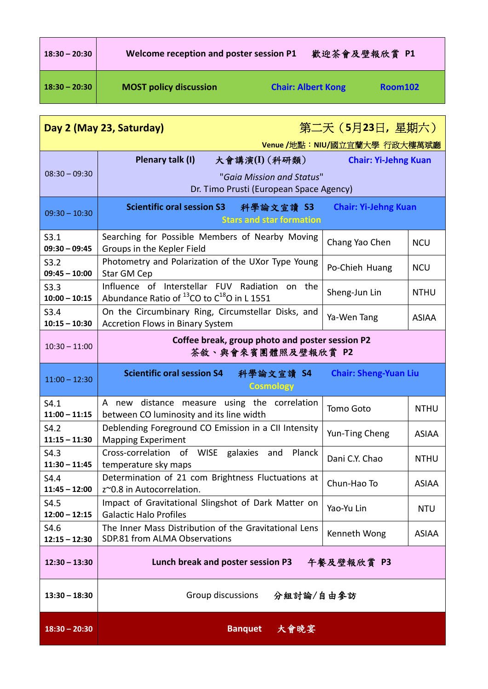| $18:30 - 20:30$ | Welcome reception and poster session P1 |                           | 歡迎茶會及壁報欣賞 P1 |
|-----------------|-----------------------------------------|---------------------------|--------------|
| $18:30 - 20:30$ | <b>MOST policy discussion</b>           | <b>Chair: Albert Kong</b> | Room102      |

| <u> 第二天(5月23日,星期六)</u><br>Day 2 (May 23, Saturday)<br>Venue /地點: NIU/國立宜蘭大學 行政大樓萬斌廳 |                                                                                                                   |                              |              |
|-------------------------------------------------------------------------------------|-------------------------------------------------------------------------------------------------------------------|------------------------------|--------------|
| $08:30 - 09:30$                                                                     | 大會講演(I) (科研類)<br>Plenary talk (I)<br>"Gaia Mission and Status"<br>Dr. Timo Prusti (European Space Agency)         | <b>Chair: Yi-Jehng Kuan</b>  |              |
| $09:30 - 10:30$                                                                     | Scientific oral session S3 科學論文宣讀 S3<br><b>Stars and star formation</b>                                           | <b>Chair: Yi-Jehng Kuan</b>  |              |
| S3.1<br>$09:30 - 09:45$                                                             | Searching for Possible Members of Nearby Moving<br>Groups in the Kepler Field                                     | Chang Yao Chen               | <b>NCU</b>   |
| S3.2<br>$09:45 - 10:00$                                                             | Photometry and Polarization of the UXor Type Young<br><b>Star GM Cep</b>                                          | Po-Chieh Huang               | <b>NCU</b>   |
| S3.3<br>$10:00 - 10:15$                                                             | Influence of Interstellar FUV Radiation<br>on the<br>Abundance Ratio of $^{13}$ CO to C <sup>18</sup> O in L 1551 | Sheng-Jun Lin                | <b>NTHU</b>  |
| S3.4<br>$10:15 - 10:30$                                                             | On the Circumbinary Ring, Circumstellar Disks, and<br><b>Accretion Flows in Binary System</b>                     | Ya-Wen Tang                  | <b>ASIAA</b> |
| $10:30 - 11:00$                                                                     | Coffee break, group photo and poster session P2<br>茶敘、與會來賓團體照及壁報欣賞 P2                                             |                              |              |
| $11:00 - 12:30$                                                                     | <b>Scientific oral session S4</b><br>科學論文宣讀 S4<br><b>Cosmology</b>                                                | <b>Chair: Sheng-Yuan Liu</b> |              |
| S4.1<br>$11:00 - 11:15$                                                             | A new distance measure using the correlation<br>between CO luminosity and its line width                          | Tomo Goto                    | <b>NTHU</b>  |
| S4.2<br>$11:15 - 11:30$                                                             | Deblending Foreground CO Emission in a CII Intensity<br><b>Mapping Experiment</b>                                 | Yun-Ting Cheng               | <b>ASIAA</b> |
| S4.3<br>$11:30 - 11:45$                                                             | Cross-correlation of WISE galaxies and<br>Planck<br>temperature sky maps                                          | Dani C.Y. Chao               | <b>NTHU</b>  |
| S4.4<br>$11:45 - 12:00$                                                             | Determination of 21 com Brightness Fluctuations at<br>z~0.8 in Autocorrelation.                                   | Chun-Hao To                  | <b>ASIAA</b> |
| S4.5<br>$12:00 - 12:15$                                                             | Impact of Gravitational Slingshot of Dark Matter on<br><b>Galactic Halo Profiles</b>                              | Yao-Yu Lin                   | <b>NTU</b>   |
| S4.6<br>$12:15 - 12:30$                                                             | The Inner Mass Distribution of the Gravitational Lens<br>SDP.81 from ALMA Observations                            | Kenneth Wong                 | <b>ASIAA</b> |
| $12:30 - 13:30$                                                                     | Lunch break and poster session P3 午餐及壁報欣賞 P3                                                                      |                              |              |
| $13:30 - 18:30$                                                                     | Group discussions<br>分組討論/自由參訪                                                                                    |                              |              |
| $18:30 - 20:30$                                                                     | <b>Banquet</b><br>大會晚宴                                                                                            |                              |              |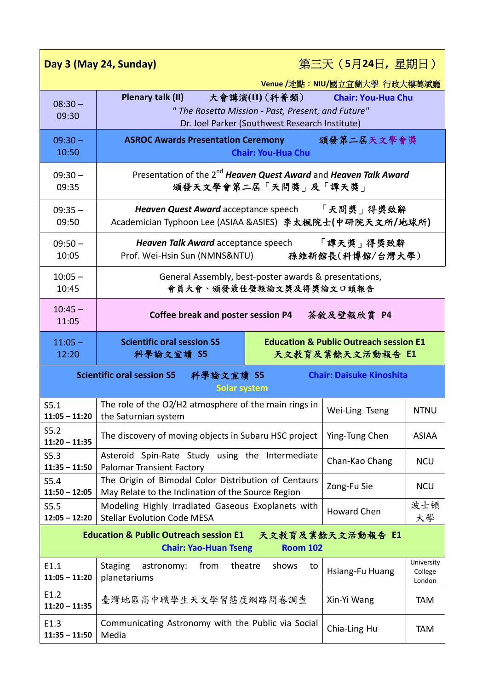| 第三天 (5月24日, 星期日)<br>Day 3 (May 24, Sunday)                                                               |                                                                                                                                             |                               |                                 |  |
|----------------------------------------------------------------------------------------------------------|---------------------------------------------------------------------------------------------------------------------------------------------|-------------------------------|---------------------------------|--|
|                                                                                                          |                                                                                                                                             | Venue /地點: NIU/國立宜蘭大學 行政大樓萬斌廳 |                                 |  |
| $08:30 -$<br>09:30                                                                                       | Plenary talk (II)<br>大會講演(II) (科普類)<br>" The Rosetta Mission - Past, Present, and Future"<br>Dr. Joel Parker (Southwest Research Institute) | <b>Chair: You-Hua Chu</b>     |                                 |  |
| $09:30 -$<br>10:50                                                                                       | <b>ASROC Awards Presentation Ceremony</b><br><b>Chair: You-Hua Chu</b>                                                                      | 頒發第二屆天文學會獎                    |                                 |  |
| $09:30 -$<br>09:35                                                                                       | Presentation of the 2 <sup>nd</sup> Heaven Quest Award and Heaven Talk Award<br>頒發天文學會第二屆「天問獎」及「譚天獎」                                        |                               |                                 |  |
| $09:35 -$<br>09:50                                                                                       | 「天問獎」得獎致辭<br>Heaven Quest Award acceptance speech<br>Academician Typhoon Lee (ASIAA &ASIES) 李太楓院士(中研院天文所/地球所)                               |                               |                                 |  |
| $09:50 -$<br>10:05                                                                                       | 「譚天獎」得獎致辭<br>Heaven Talk Award acceptance speech<br>Prof. Wei-Hsin Sun (NMNS&NTU)<br>孫維新館長(科博館/台灣大學)                                        |                               |                                 |  |
| $10:05 -$<br>10:45                                                                                       | General Assembly, best-poster awards & presentations,<br>會員大會、頒發最佳壁報論文獎及得獎論文口頭報告                                                            |                               |                                 |  |
| $10:45 -$<br>11:05                                                                                       | Coffee break and poster session P4                                                                                                          | 茶敘及壁報欣賞 P4                    |                                 |  |
| $11:05 -$<br>12:20                                                                                       | <b>Scientific oral session S5</b><br><b>Education &amp; Public Outreach session E1</b><br>天文教育及業餘天文活動報告 E1<br>科學論文宣讀 S5                     |                               |                                 |  |
| <b>Scientific oral session S5</b><br>科學論文宣讀 S5<br><b>Chair: Daisuke Kinoshita</b><br><b>Solar system</b> |                                                                                                                                             |                               |                                 |  |
|                                                                                                          |                                                                                                                                             |                               |                                 |  |
| S5.1<br>$11:05 - 11:20$                                                                                  | The role of the O2/H2 atmosphere of the main rings in<br>the Saturnian system                                                               | Wei-Ling Tseng                | <b>NTNU</b>                     |  |
| S5.2<br>$11:20 - 11:35$                                                                                  | The discovery of moving objects in Subaru HSC project                                                                                       | Ying-Tung Chen                | <b>ASIAA</b>                    |  |
| S5.3<br>$11:35 - 11:50$                                                                                  | Asteroid Spin-Rate Study using the Intermediate<br><b>Palomar Transient Factory</b>                                                         | Chan-Kao Chang                | <b>NCU</b>                      |  |
| S5.4<br>$11:50 - 12:05$                                                                                  | The Origin of Bimodal Color Distribution of Centaurs<br>May Relate to the Inclination of the Source Region                                  | Zong-Fu Sie                   | <b>NCU</b>                      |  |
| S5.5<br>$12:05 - 12:20$                                                                                  | Modeling Highly Irradiated Gaseous Exoplanets with<br><b>Stellar Evolution Code MESA</b>                                                    | <b>Howard Chen</b>            | 波士頓<br>大學                       |  |
|                                                                                                          | <b>Education &amp; Public Outreach session E1</b><br><b>Room 102</b><br><b>Chair: Yao-Huan Tseng</b>                                        | 天文教育及業餘天文活動報告 E1              |                                 |  |
| E1.1<br>$11:05 - 11:20$                                                                                  | <b>Staging</b><br>astronomy:<br>from<br>theatre<br>shows<br>to<br>planetariums                                                              | Hsiang-Fu Huang               | University<br>College<br>London |  |
| E1.2<br>$11:20 - 11:35$                                                                                  | 臺灣地區高中職學生天文學習態度網路問卷調查                                                                                                                       | Xin-Yi Wang                   | <b>TAM</b>                      |  |